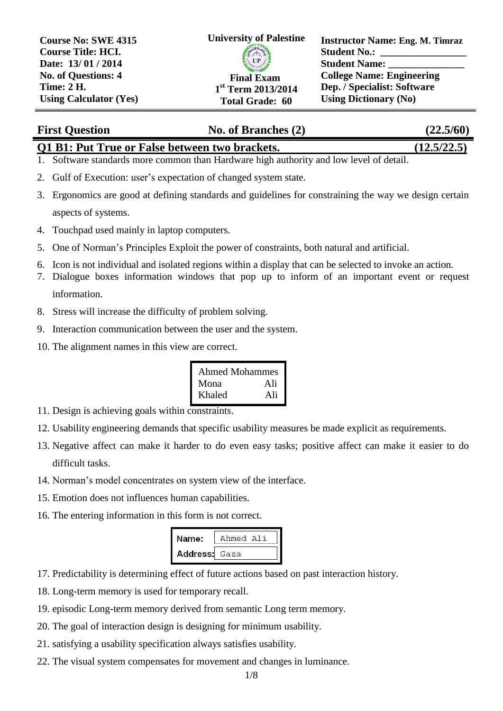

**Instructor Name: Eng. M. Timraz Student No.: Student Name: College Name: Engineering Dep. / Specialist: Software Using Dictionary (No)**

# **First Question No. of Branches (2) (22.5/60)**

### **Q1 B1: Put True or False between two brackets. (12.5/22.5)**

- 1. Software standards more common than Hardware high authority and low level of detail.
- 2. Gulf of Execution: user's expectation of changed system state.
- 3. Ergonomics are good at defining standards and guidelines for constraining the way we design certain aspects of systems.
- 4. Touchpad used mainly in laptop computers.
- 5. One of Norman's Principles Exploit the power of constraints, both natural and artificial.
- 6. Icon is not individual and isolated regions within a display that can be selected to invoke an action.
- 7. Dialogue boxes information windows that pop up to inform of an important event or request

information.

- 8. Stress will increase the difficulty of problem solving.
- 9. Interaction communication between the user and the system.
- 10. The alignment names in this view are correct.

| <b>Ahmed Mohammes</b> |     |
|-----------------------|-----|
| Mona                  | Ali |
| Khaled                | Ali |

- 11. Design is achieving goals within constraints.
- 12. Usability engineering demands that specific usability measures be made explicit as requirements.
- 13. Negative affect can make it harder to do even easy tasks; positive affect can make it easier to do difficult tasks.
- 14. Norman's model concentrates on system view of the interface.
- 15. Emotion does not influences human capabilities.
- 16. The entering information in this form is not correct.

| Name:         | Ahmed Ali |
|---------------|-----------|
| Address: Gaza |           |

- 17. Predictability is determining effect of future actions based on past interaction history.
- 18. Long-term memory is used for temporary recall.
- 19. episodic Long-term memory derived from semantic Long term memory.
- 20. The goal of interaction design is designing for minimum usability.
- 21. satisfying a usability specification always satisfies usability.
- 22. The visual system compensates for movement and changes in luminance.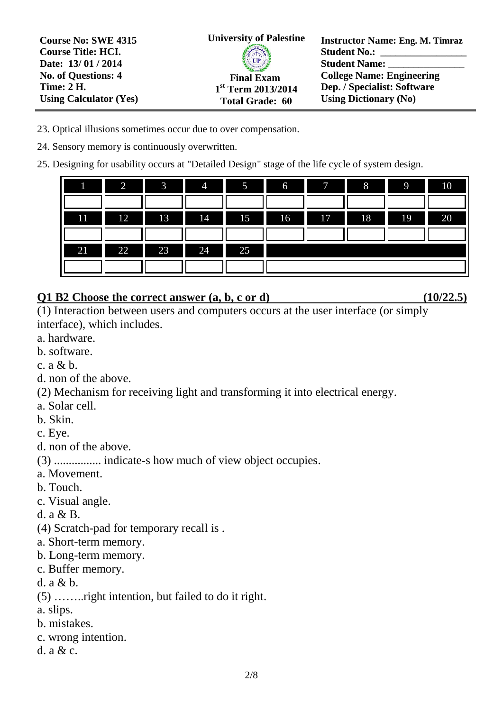**Instructor Name: Eng. M. Timraz Student No.: Student Name: College Name: Engineering Dep. / Specialist: Software Using Dictionary (No) University of Palestine Final Exam 1 st Term 2013/2014 Total Grade: 60 Course No: SWE 4315 Course Title: HCI. Date: 13/ 01 / 2014 No. of Questions: 4 Time: 2 H. Using Calculator (Yes)**

- 23. Optical illusions sometimes occur due to over compensation.
- 24. Sensory memory is continuously overwritten.
- 25. Designing for usability occurs at "Detailed Design" stage of the life cycle of system design.

| 1  | $\overline{2}$ | $-3$           | $\overline{4}$ | 5  | $6\quad$ | 7                                              | I<br>8 <sup>8</sup> | $\sqrt{9}$                                  | 10 |
|----|----------------|----------------|----------------|----|----------|------------------------------------------------|---------------------|---------------------------------------------|----|
|    |                |                |                |    |          |                                                |                     |                                             |    |
| 11 | 12             | $\blacksquare$ | 14             | 15 | 16       | $\begin{array}{ccc} 17 & \text{ } \end{array}$ | $\blacksquare$      | $\overline{\phantom{a}}$<br>$\overline{19}$ | 20 |
|    |                |                |                |    |          |                                                |                     |                                             |    |
| 21 | 22             | 23             | I<br>24        | 25 |          |                                                |                     |                                             |    |
|    |                |                |                |    |          |                                                |                     |                                             |    |

## **Q1 B2 Choose the correct answer (a, b, c or d) (10/22.5)**

(1) Interaction between users and computers occurs at the user interface (or simply interface), which includes.

- a. hardware.
- b. software.
- c. a & b.
- d. non of the above.

(2) Mechanism for receiving light and transforming it into electrical energy.

- a. Solar cell.
- b. Skin.

c. Eye.

d. non of the above.

(3) ................ indicate-s how much of view object occupies.

- a. Movement.
- b. Touch.
- c. Visual angle.
- d. a & B.
- (4) Scratch-pad for temporary recall is .
- a. Short-term memory.
- b. Long-term memory.
- c. Buffer memory.
- d. a & b.
- (5) ……..right intention, but failed to do it right.
- a. slips.
- b. mistakes.
- c. wrong intention.
- d. a & c.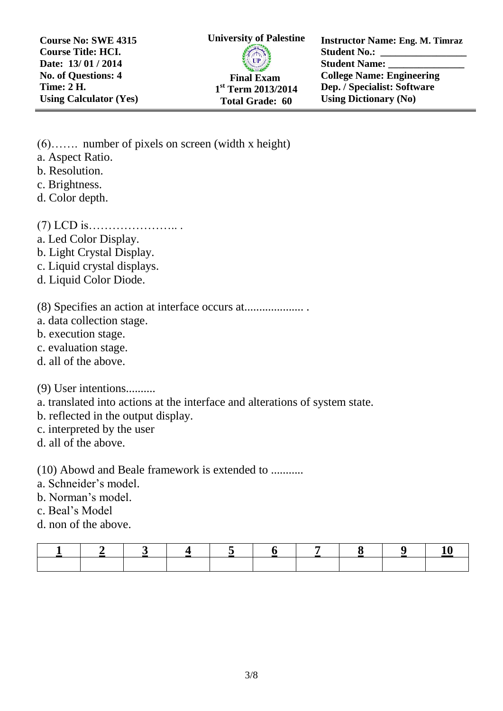**Course No: SWE 4315 Course Title: HCI. Date: 13/ 01 / 2014 No. of Questions: 4 Time: 2 H. Using Calculator (Yes)** **University of Palestine Final Exam 1 st Term 2013/2014 Total Grade: 60**

**Instructor Name: Eng. M. Timraz Student No.: Student Name: College Name: Engineering Dep. / Specialist: Software Using Dictionary (No)**

(6)……. number of pixels on screen (width x height) a. Aspect Ratio. b. Resolution. c. Brightness. d. Color depth. (7) LCD is………………….. . a. Led Color Display. b. Light Crystal Display. c. Liquid crystal displays. d. Liquid Color Diode. (8) Specifies an action at interface occurs at.................... . a. data collection stage. b. execution stage. c. evaluation stage. d. all of the above. (9) User intentions.......... a. translated into actions at the interface and alterations of system state. b. reflected in the output display. c. interpreted by the user d. all of the above. (10) Abowd and Beale framework is extended to ........... a. Schneider's model. b. Norman's model. c. Beal's Model d. non of the above.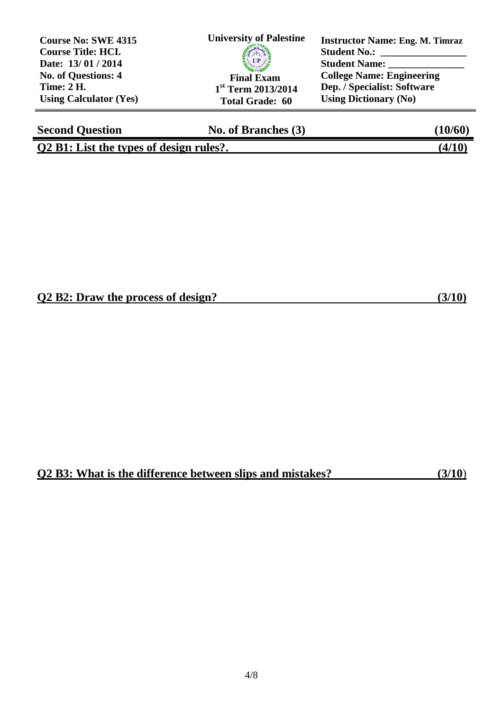| <b>Course No: SWE 4315</b><br><b>Course Title: HCI.</b><br>Date: 13/01/2014 | <b>University of Palestine</b><br>UP | <b>Instructor Name: Eng. M. Timraz</b><br><b>Student No.:</b><br><b>Student Name:</b> |
|-----------------------------------------------------------------------------|--------------------------------------|---------------------------------------------------------------------------------------|
| <b>No. of Questions: 4</b>                                                  | <b>Final Exam</b>                    | <b>College Name: Engineering</b>                                                      |
| <b>Time: 2 H.</b>                                                           | $1st$ Term 2013/2014                 | Dep. / Specialist: Software                                                           |
| <b>Using Calculator (Yes)</b>                                               | <b>Total Grade: 60</b>               | <b>Using Dictionary (No)</b>                                                          |

| <b>Second Question</b>                  | No. of Branches (3) | $^{\prime}10$ /60 , |
|-----------------------------------------|---------------------|---------------------|
| O2 B1: List the types of design rules?. |                     | (4/10)              |

▁

## **Q2 B2: Draw the process of design? (3/10)**

## **Q2 B3: What is the difference between slips and mistakes? (3/10**)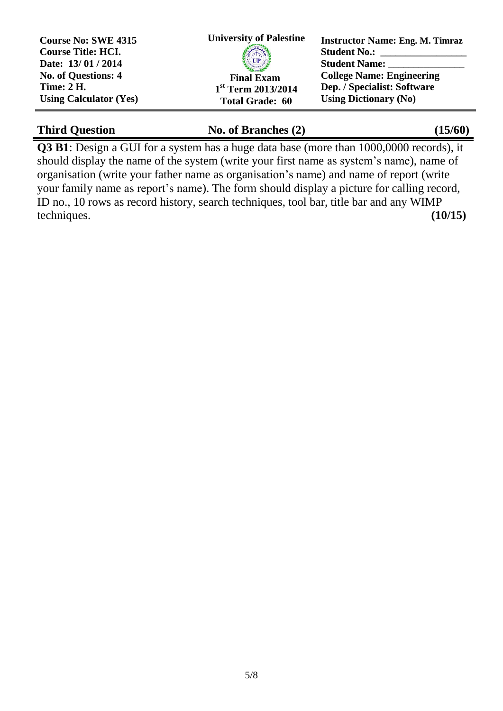| <b>Course No: SWE 4315</b><br><b>Course Title: HCI.</b> | <b>University of Palestine</b> | <b>Instructor Name: Eng. M. Timraz</b><br><b>Student No.:</b> |
|---------------------------------------------------------|--------------------------------|---------------------------------------------------------------|
| Date: 13/01/2014                                        | <b>Engineering Property</b>    | <b>Student Name:</b>                                          |
| No. of Questions: 4                                     | <b>Final Exam</b>              | <b>College Name: Engineering</b>                              |
| <b>Time: 2 H.</b>                                       | $1st$ Term 2013/2014           | Dep. / Specialist: Software                                   |
| <b>Using Calculator (Yes)</b>                           | <b>Total Grade: 60</b>         | <b>Using Dictionary (No)</b>                                  |

## Third Question **No. of Branches (2)** (15/60)

**Q3 B1**: Design a GUI for a system has a huge data base (more than 1000,0000 records), it should display the name of the system (write your first name as system's name), name of organisation (write your father name as organisation's name) and name of report (write your family name as report's name). The form should display a picture for calling record, ID no., 10 rows as record history, search techniques, tool bar, title bar and any WIMP techniques. **(10/15)**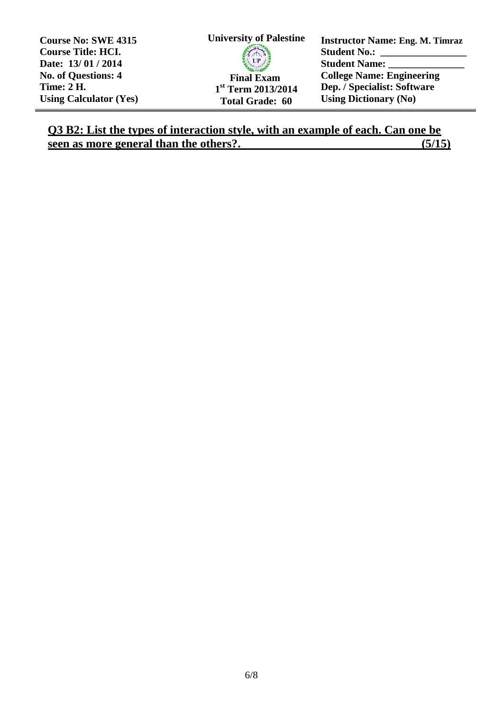**Course No: SWE 4315 Course Title: HCI. Date: 13/ 01 / 2014 No. of Questions: 4 Time: 2 H. Using Calculator (Yes)**



**Instructor Name: Eng. M. Timraz Student No.: Student Name: College Name: Engineering Dep. / Specialist: Software Using Dictionary (No)**

## **Q3 B2: List the types of interaction style, with an example of each. Can one be seen as more general than the others?.** (5/15)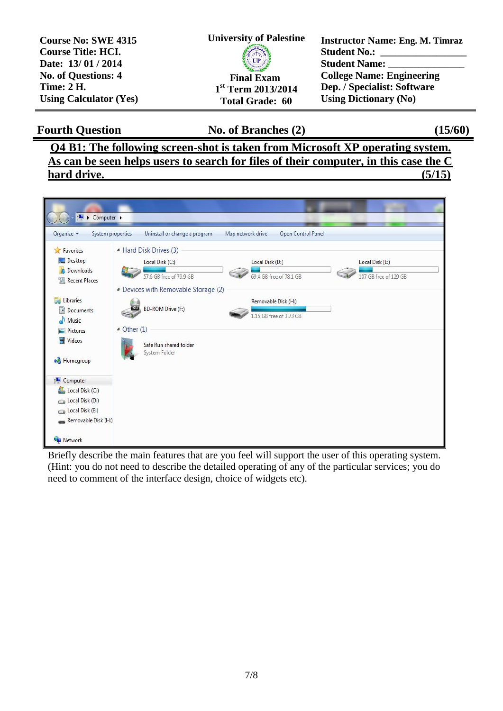| <b>Course No: SWE 4315</b>    | <b>University of Palestine</b> | <b>Instructor Name: Eng. M. Timraz</b> |
|-------------------------------|--------------------------------|----------------------------------------|
| <b>Course Title: HCI.</b>     |                                | <b>Student No.:</b>                    |
| Date: 13/01/2014              | <b>SAMILY OF BRANCH</b>        | <b>Student Name:</b>                   |
| <b>No. of Questions: 4</b>    | <b>Final Exam</b>              | <b>College Name: Engineering</b>       |
| <b>Time: 2 H.</b>             | $1st$ Term 2013/2014           | Dep. / Specialist: Software            |
| <b>Using Calculator (Yes)</b> | <b>Total Grade: 60</b>         | <b>Using Dictionary (No)</b>           |

**Fourth Question No. of Branches (2) (15/60)**

**Q4 B1: The following screen-shot is taken from Microsoft XP operating system. As can be seen helps users to search for files of their computer, in this case the C hard drive. (5/15)**



Briefly describe the main features that are you feel will support the user of this operating system. (Hint: you do not need to describe the detailed operating of any of the particular services; you do need to comment of the interface design, choice of widgets etc).